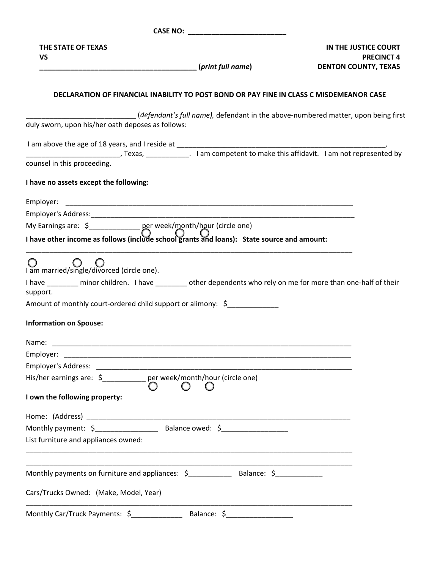| THE STATE OF TEXAS<br><b>VS</b>                                                                                                                               |                                                                                         | IN THE JUSTICE COURT<br><b>PRECINCT 4</b><br><b>DENTON COUNTY, TEXAS</b> |
|---------------------------------------------------------------------------------------------------------------------------------------------------------------|-----------------------------------------------------------------------------------------|--------------------------------------------------------------------------|
|                                                                                                                                                               | DECLARATION OF FINANCIAL INABILITY TO POST BOND OR PAY FINE IN CLASS C MISDEMEANOR CASE |                                                                          |
| duly sworn, upon his/her oath deposes as follows:                                                                                                             | defendant's full name), defendant in the above-numbered matter, upon being first        |                                                                          |
|                                                                                                                                                               |                                                                                         |                                                                          |
| counsel in this proceeding.                                                                                                                                   |                                                                                         |                                                                          |
| I have no assets except the following:                                                                                                                        |                                                                                         |                                                                          |
| Employer:                                                                                                                                                     |                                                                                         |                                                                          |
|                                                                                                                                                               |                                                                                         |                                                                          |
|                                                                                                                                                               |                                                                                         |                                                                          |
| My Earnings are: $\frac{2}{5}$ per week/month/hour (circle one)<br>I have other income as follows (include school grants and loans): State source and amount: |                                                                                         |                                                                          |
| I am married/single/divorced (circle one).                                                                                                                    |                                                                                         |                                                                          |
| I have _______ minor children. I have _______ other dependents who rely on me for more than one-half of their<br>support.                                     |                                                                                         |                                                                          |
| Amount of monthly court-ordered child support or alimony: \$                                                                                                  |                                                                                         |                                                                          |
| <b>Information on Spouse:</b>                                                                                                                                 |                                                                                         |                                                                          |
| Name:                                                                                                                                                         |                                                                                         |                                                                          |
|                                                                                                                                                               |                                                                                         |                                                                          |
|                                                                                                                                                               |                                                                                         |                                                                          |
| His/her earnings are: \$____________ per week/month/hour (circle one)                                                                                         | $\left( \begin{array}{c} 1 \end{array} \right)$                                         |                                                                          |
| I own the following property:                                                                                                                                 |                                                                                         |                                                                          |
|                                                                                                                                                               |                                                                                         |                                                                          |
|                                                                                                                                                               |                                                                                         |                                                                          |
| List furniture and appliances owned:                                                                                                                          |                                                                                         |                                                                          |
| Monthly payments on furniture and appliances: \$__________________________________                                                                            |                                                                                         |                                                                          |
| Cars/Trucks Owned: (Make, Model, Year)                                                                                                                        |                                                                                         |                                                                          |
|                                                                                                                                                               |                                                                                         |                                                                          |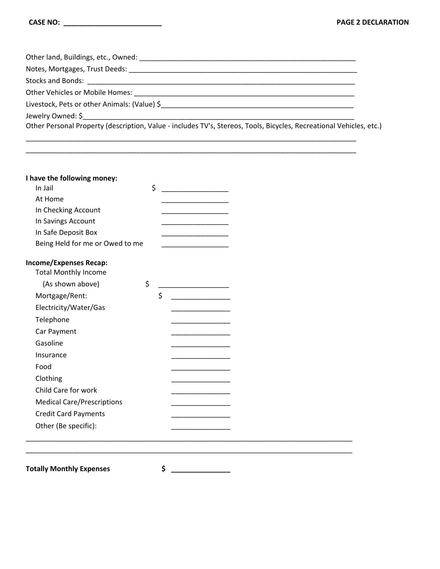| Livestock, Pets or other Animals: (Value) \$                                                                        |  |
|---------------------------------------------------------------------------------------------------------------------|--|
|                                                                                                                     |  |
| Other Personal Property (description, Value - includes TV's, Stereos, Tools, Bicycles, Recreational Vehicles, etc.) |  |

\_\_\_\_\_\_\_\_\_\_\_\_\_\_\_\_\_\_\_\_\_\_\_\_\_\_\_\_\_\_\_\_\_\_\_\_\_\_\_\_\_\_\_\_\_\_\_\_\_\_\_\_\_\_\_\_\_\_\_\_\_\_\_\_\_\_\_\_\_\_\_\_\_\_\_\_\_\_\_\_\_\_\_\_

\_\_\_\_\_\_\_\_\_\_\_\_\_\_\_\_\_\_\_\_\_\_\_\_\_\_\_\_\_\_\_\_\_\_\_\_\_\_\_\_\_\_\_\_\_\_\_\_\_\_\_\_\_\_\_\_\_\_\_\_\_\_\_\_\_\_\_\_\_\_\_\_\_\_\_\_\_\_\_\_\_\_\_\_

| I have the following money:       |    |  |  |  |
|-----------------------------------|----|--|--|--|
| In Jail                           | \$ |  |  |  |
| At Home                           |    |  |  |  |
| In Checking Account               |    |  |  |  |
| In Savings Account                |    |  |  |  |
| In Safe Deposit Box               |    |  |  |  |
| Being Held for me or Owed to me   |    |  |  |  |
| <b>Income/Expenses Recap:</b>     |    |  |  |  |
| <b>Total Monthly Income</b>       |    |  |  |  |
| (As shown above)                  | \$ |  |  |  |
| Mortgage/Rent:                    | \$ |  |  |  |
| Electricity/Water/Gas             |    |  |  |  |
| Telephone                         |    |  |  |  |
| Car Payment                       |    |  |  |  |
| Gasoline                          |    |  |  |  |
| Insurance                         |    |  |  |  |
| Food                              |    |  |  |  |
| Clothing                          |    |  |  |  |
| Child Care for work               |    |  |  |  |
| <b>Medical Care/Prescriptions</b> |    |  |  |  |
| <b>Credit Card Payments</b>       |    |  |  |  |
| Other (Be specific):              |    |  |  |  |
|                                   |    |  |  |  |
|                                   |    |  |  |  |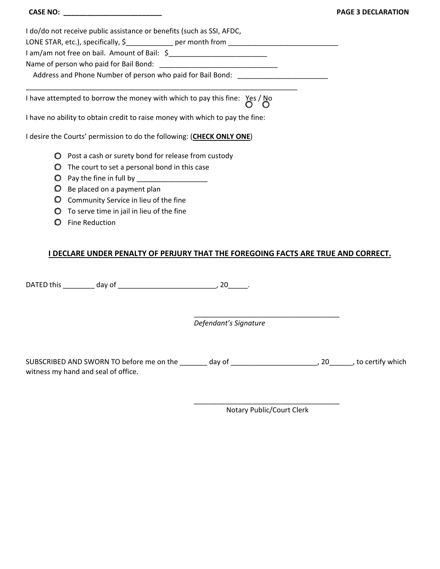|                                                                                       | Ρ |
|---------------------------------------------------------------------------------------|---|
| I do/do not receive public assistance or benefits (such as SSI, AFDC,                 |   |
| LONE STAR, etc.), specifically, \$_____________ per month from __________________     |   |
|                                                                                       |   |
|                                                                                       |   |
| Address and Phone Number of person who paid for Bail Bond: Lawrence Manuscher Manusch |   |
|                                                                                       |   |
| I have attempted to borrow the money with which to pay this fine: $Yes / No$          |   |
| I have no ability to obtain credit to raise money with which to pay the fine:         |   |
| I desire the Courts' permission to do the following: (CHECK ONLY ONE)                 |   |
| Post a cash or surety bond for release from custody<br>O                              |   |
| The court to set a personal bond in this case<br>O                                    |   |
| Pay the fine in full by __________                                                    |   |

- **□** Be placed on a payment plan
- **□** Community Service in lieu of the fine
- **□** To serve time in jail in lieu of the fine
- **□** Fine Reduction

## **I DECLARE UNDER PENALTY OF PERJURY THAT THE FOREGOING FACTS ARE TRUE AND CORRECT.**

DATED this \_\_\_\_\_\_\_\_ day of \_\_\_\_\_\_\_\_\_\_\_\_\_\_\_\_\_\_\_\_\_\_\_\_\_, 20\_\_\_\_\_.

*Defendant's Signature* 

SUBSCRIBED AND SWORN TO before me on the \_\_\_\_\_\_\_ day of \_\_\_\_\_\_\_\_\_\_\_\_\_\_\_\_\_\_\_\_\_\_\_\_\_, 20\_\_\_\_\_\_\_, to certify which witness my hand and seal of office.

> \_\_\_\_\_\_\_\_\_\_\_\_\_\_\_\_\_\_\_\_\_\_\_\_\_\_\_\_\_\_\_\_\_\_\_\_\_ Notary Public/Court Clerk

> \_\_\_\_\_\_\_\_\_\_\_\_\_\_\_\_\_\_\_\_\_\_\_\_\_\_\_\_\_\_\_\_\_\_\_\_\_

**PAGE 3 DECLARATION**